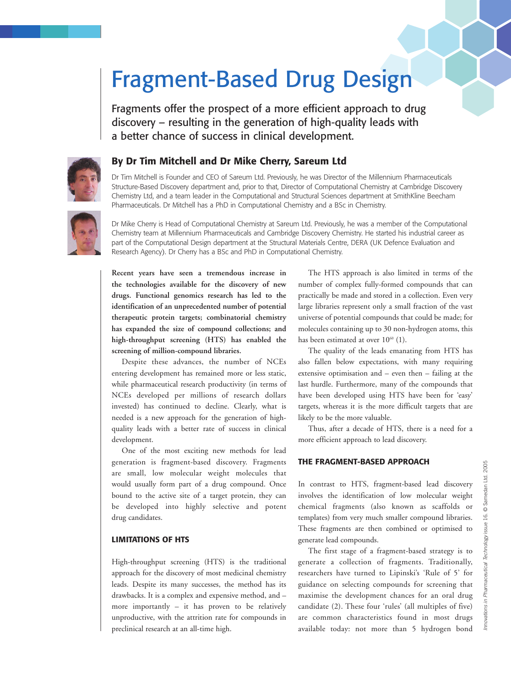# Fragment-Based Drug Design

Fragments offer the prospect of a more efficient approach to drug discovery – resulting in the generation of high-quality leads with a better chance of success in clinical development.



# **By Dr Tim Mitchell and Dr Mike Cherry, Sareum Ltd**

Dr Tim Mitchell is Founder and CEO of Sareum Ltd. Previously, he was Director of the Millennium Pharmaceuticals Structure-Based Discovery department and, prior to that, Director of Computational Chemistry at Cambridge Discovery Chemistry Ltd, and a team leader in the Computational and Structural Sciences department at SmithKline Beecham Pharmaceuticals. Dr Mitchell has a PhD in Computational Chemistry and a BSc in Chemistry.



Dr Mike Cherry is Head of Computational Chemistry at Sareum Ltd. Previously, he was a member of the Computational Chemistry team at Millennium Pharmaceuticals and Cambridge Discovery Chemistry. He started his industrial career as part of the Computational Design department at the Structural Materials Centre, DERA (UK Defence Evaluation and Research Agency). Dr Cherry has a BSc and PhD in Computational Chemistry.

**Recent years have seen a tremendous increase in the technologies available for the discovery of new drugs. Functional genomics research has led to the identification of an unprecedented number of potential therapeutic protein targets; combinatorial chemistry has expanded the size of compound collections; and high-throughput screening (HTS) has enabled the screening of million-compound libraries.**

Despite these advances, the number of NCEs entering development has remained more or less static, while pharmaceutical research productivity (in terms of NCEs developed per millions of research dollars invested) has continued to decline. Clearly, what is needed is a new approach for the generation of highquality leads with a better rate of success in clinical development.

One of the most exciting new methods for lead generation is fragment-based discovery. Fragments are small, low molecular weight molecules that would usually form part of a drug compound. Once bound to the active site of a target protein, they can be developed into highly selective and potent drug candidates.

### **LIMITATIONS OF HTS**

High-throughput screening (HTS) is the traditional approach for the discovery of most medicinal chemistry leads. Despite its many successes, the method has its drawbacks. It is a complex and expensive method, and – more importantly – it has proven to be relatively unproductive, with the attrition rate for compounds in preclinical research at an all-time high.

The HTS approach is also limited in terms of the number of complex fully-formed compounds that can practically be made and stored in a collection. Even very large libraries represent only a small fraction of the vast universe of potential compounds that could be made; for molecules containing up to 30 non-hydrogen atoms, this has been estimated at over  $10<sup>60</sup>$  (1).

The quality of the leads emanating from HTS has also fallen below expectations, with many requiring extensive optimisation and – even then – failing at the last hurdle. Furthermore, many of the compounds that have been developed using HTS have been for 'easy' targets, whereas it is the more difficult targets that are likely to be the more valuable.

Thus, after a decade of HTS, there is a need for a more efficient approach to lead discovery.

#### **THE FRAGMENT-BASED APPROACH**

In contrast to HTS, fragment-based lead discovery involves the identification of low molecular weight chemical fragments (also known as scaffolds or templates) from very much smaller compound libraries. These fragments are then combined or optimised to generate lead compounds.

The first stage of a fragment-based strategy is to generate a collection of fragments. Traditionally, researchers have turned to Lipinski's 'Rule of 5' for guidance on selecting compounds for screening that maximise the development chances for an oral drug candidate (2). These four 'rules' (all multiples of five) are common characteristics found in most drugs available today: not more than 5 hydrogen bond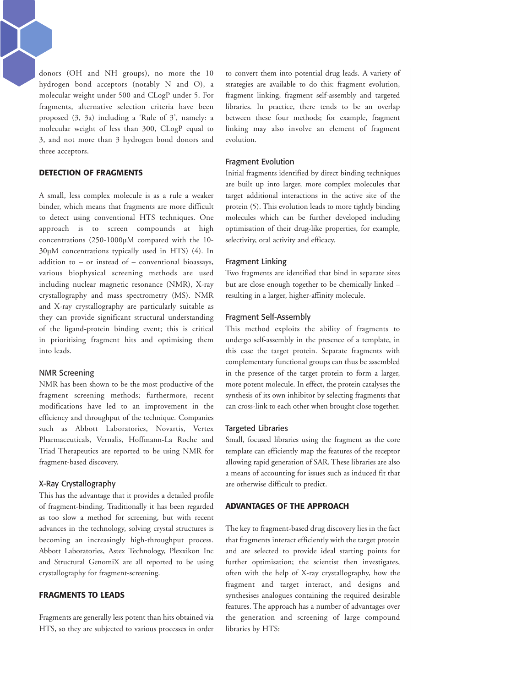donors (OH and NH groups), no more the 10 hydrogen bond acceptors (notably N and O), a molecular weight under 500 and CLogP under 5. For fragments, alternative selection criteria have been proposed (3, 3a) including a 'Rule of 3', namely: a molecular weight of less than 300, CLogP equal to 3, and not more than 3 hydrogen bond donors and three acceptors.

## **DETECTION OF FRAGMENTS**

A small, less complex molecule is as a rule a weaker binder, which means that fragments are more difficult to detect using conventional HTS techniques. One approach is to screen compounds at high concentrations (250-1000µM compared with the 10- 30µM concentrations typically used in HTS) (4). In addition to – or instead of – conventional bioassays, various biophysical screening methods are used including nuclear magnetic resonance (NMR), X-ray crystallography and mass spectrometry (MS). NMR and X-ray crystallography are particularly suitable as they can provide significant structural understanding of the ligand-protein binding event; this is critical in prioritising fragment hits and optimising them into leads.

#### NMR Screening

NMR has been shown to be the most productive of the fragment screening methods; furthermore, recent modifications have led to an improvement in the efficiency and throughput of the technique. Companies such as Abbott Laboratories, Novartis, Vertex Pharmaceuticals, Vernalis, Hoffmann-La Roche and Triad Therapeutics are reported to be using NMR for fragment-based discovery.

### X-Ray Crystallography

This has the advantage that it provides a detailed profile of fragment-binding. Traditionally it has been regarded as too slow a method for screening, but with recent advances in the technology, solving crystal structures is becoming an increasingly high-throughput process. Abbott Laboratories, Astex Technology, Plexxikon Inc and Structural GenomiX are all reported to be using crystallography for fragment-screening.

## **FRAGMENTS TO LEADS**

Fragments are generally less potent than hits obtained via HTS, so they are subjected to various processes in order to convert them into potential drug leads. A variety of strategies are available to do this: fragment evolution, fragment linking, fragment self-assembly and targeted libraries. In practice, there tends to be an overlap between these four methods; for example, fragment linking may also involve an element of fragment evolution.

#### Fragment Evolution

Initial fragments identified by direct binding techniques are built up into larger, more complex molecules that target additional interactions in the active site of the protein (5). This evolution leads to more tightly binding molecules which can be further developed including optimisation of their drug-like properties, for example, selectivity, oral activity and efficacy.

#### Fragment Linking

Two fragments are identified that bind in separate sites but are close enough together to be chemically linked – resulting in a larger, higher-affinity molecule.

#### Fragment Self-Assembly

This method exploits the ability of fragments to undergo self-assembly in the presence of a template, in this case the target protein. Separate fragments with complementary functional groups can thus be assembled in the presence of the target protein to form a larger, more potent molecule. In effect, the protein catalyses the synthesis of its own inhibitor by selecting fragments that can cross-link to each other when brought close together.

#### Targeted Libraries

Small, focused libraries using the fragment as the core template can efficiently map the features of the receptor allowing rapid generation of SAR. These libraries are also a means of accounting for issues such as induced fit that are otherwise difficult to predict.

#### **ADVANTAGES OF THE APPROACH**

The key to fragment-based drug discovery lies in the fact that fragments interact efficiently with the target protein and are selected to provide ideal starting points for further optimisation; the scientist then investigates, often with the help of X-ray crystallography, how the fragment and target interact, and designs and synthesises analogues containing the required desirable features. The approach has a number of advantages over the generation and screening of large compound libraries by HTS: